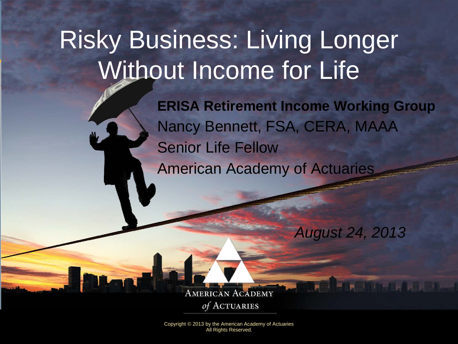# Risky Business: Living Longer Without Income for Life

**ERISA Retirement Income Working Group** Nancy Bennett, FSA, CERA, MAAA Senior Life Fellow American Academy of Actuaries

*August 24, 2013* 

Mittelle La Tone

**AMERICAN ACADEMY** of ACTUARIES

Copyright © 2013 by the American Academy of Actuaries All Rights Reserved.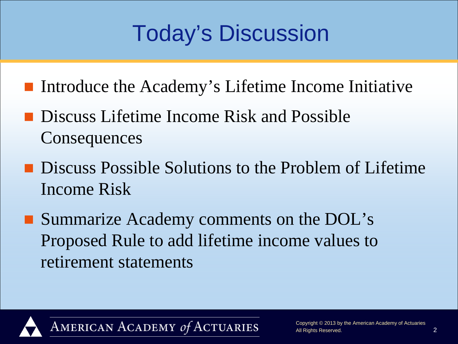## Today's Discussion

- Introduce the Academy's Lifetime Income Initiative
- **Discuss Lifetime Income Risk and Possible Consequences**
- **Discuss Possible Solutions to the Problem of Lifetime** Income Risk
- Summarize Academy comments on the DOL's Proposed Rule to add lifetime income values to retirement statements

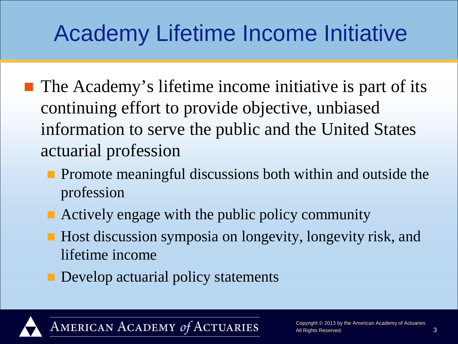## Academy Lifetime Income Initiative

- $\blacksquare$  The Academy's lifetime income initiative is part of its continuing effort to provide objective, unbiased information to serve the public and the United States actuarial profession
	- **Promote meaningful discussions both within and outside the** profession
	- Actively engage with the public policy community
	- Host discussion symposia on longevity, longevity risk, and lifetime income
	- Develop actuarial policy statements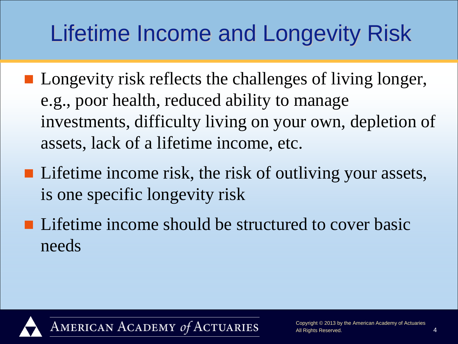## Lifetime Income and Longevity Risk

- **Longevity risk reflects the challenges of living longer,** e.g., poor health, reduced ability to manage investments, difficulty living on your own, depletion of assets, lack of a lifetime income, etc.
- Lifetime income risk, the risk of outliving your assets, is one specific longevity risk
- **Lifetime income should be structured to cover basic** needs

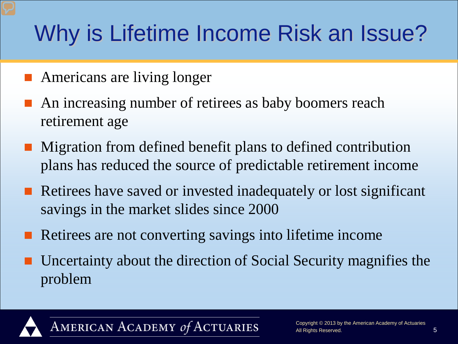## Why is Lifetime Income Risk an Issue?

- Americans are living longer
- An increasing number of retirees as baby boomers reach retirement age
- Migration from defined benefit plans to defined contribution plans has reduced the source of predictable retirement income
- Retirees have saved or invested inadequately or lost significant savings in the market slides since 2000
- Retirees are not converting savings into lifetime income
- Uncertainty about the direction of Social Security magnifies the problem

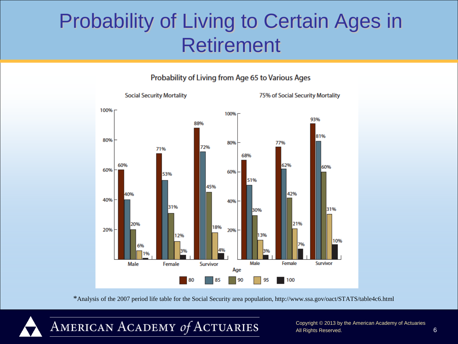### Probability of Living to Certain Ages in Retirement





\*Analysis of the 2007 period life table for the Social Security area population, http://www.ssa.gov/oact/STATS/table4c6.html



Copyright © 2013 by the American Academy of Actuaries All Rights Reserved. 6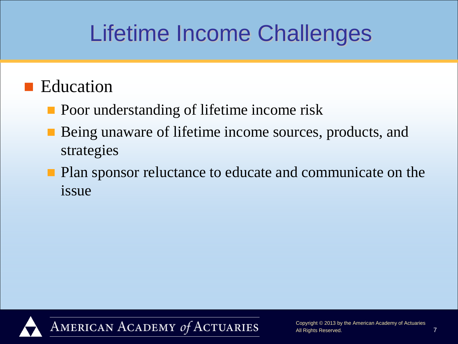## Lifetime Income Challenges

#### **Education**

- **Poor understanding of lifetime income risk**
- Being unaware of lifetime income sources, products, and strategies
- **Plan sponsor reluctance to educate and communicate on the** issue

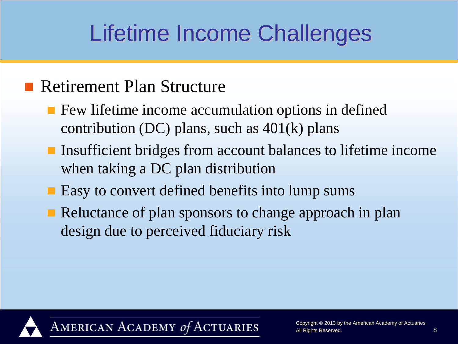## Lifetime Income Challenges

#### **Retirement Plan Structure**

- **F** Few lifetime income accumulation options in defined contribution (DC) plans, such as  $401(k)$  plans
- Insufficient bridges from account balances to lifetime income when taking a DC plan distribution
- Easy to convert defined benefits into lump sums
- Reluctance of plan sponsors to change approach in plan design due to perceived fiduciary risk

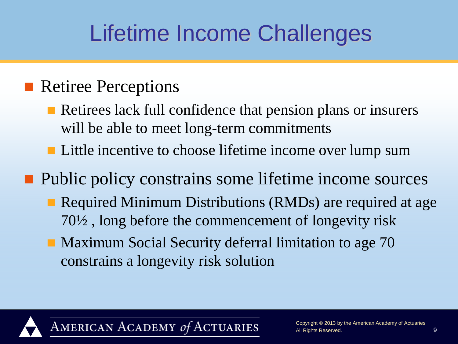## Lifetime Income Challenges

#### **Retiree Perceptions**

- Retirees lack full confidence that pension plans or insurers will be able to meet long-term commitments
- Little incentive to choose lifetime income over lump sum

**Public policy constrains some lifetime income sources** 

- Required Minimum Distributions (RMDs) are required at age 70½ , long before the commencement of longevity risk
- **Maximum Social Security deferral limitation to age 70** constrains a longevity risk solution

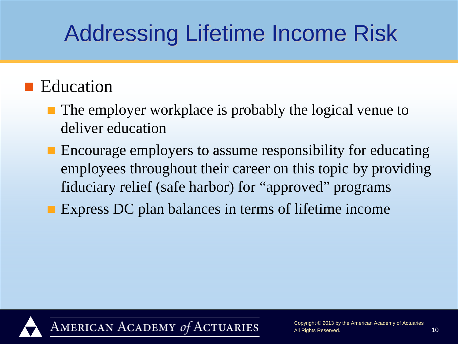#### **E**ducation

- The employer workplace is probably the logical venue to deliver education
- Encourage employers to assume responsibility for educating employees throughout their career on this topic by providing fiduciary relief (safe harbor) for "approved" programs
- **Express DC plan balances in terms of lifetime income**

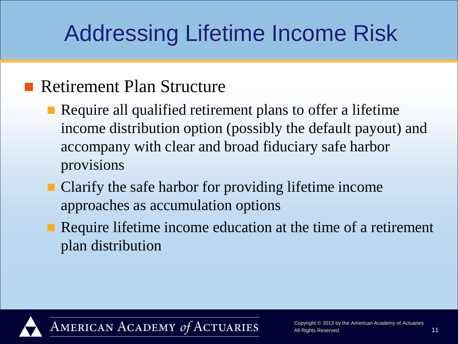#### **Retirement Plan Structure**

- **Require all qualified retirement plans to offer a lifetime** income distribution option (possibly the default payout) and accompany with clear and broad fiduciary safe harbor provisions
- Clarify the safe harbor for providing lifetime income approaches as accumulation options
- Require lifetime income education at the time of a retirement plan distribution

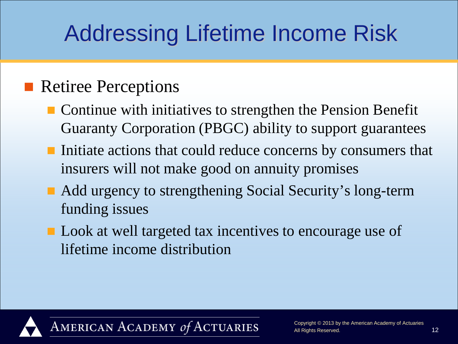#### **Retiree Perceptions**

- Continue with initiatives to strengthen the Pension Benefit Guaranty Corporation (PBGC) ability to support guarantees
- Initiate actions that could reduce concerns by consumers that insurers will not make good on annuity promises
- Add urgency to strengthening Social Security's long-term funding issues
- Look at well targeted tax incentives to encourage use of lifetime income distribution

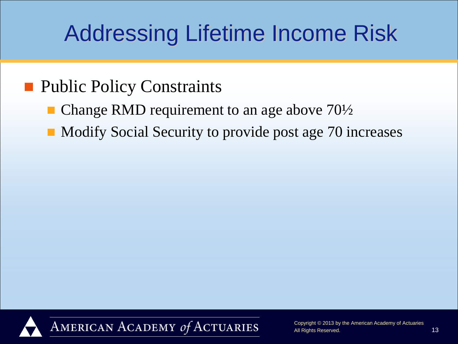#### **Public Policy Constraints**

- Change RMD requirement to an age above 70½
- Modify Social Security to provide post age 70 increases

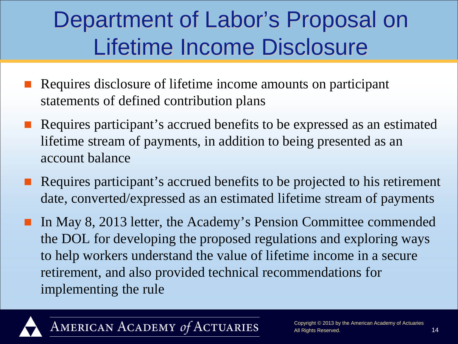### Department of Labor's Proposal on Lifetime Income Disclosure

- Requires disclosure of lifetime income amounts on participant statements of defined contribution plans
- Requires participant's accrued benefits to be expressed as an estimated lifetime stream of payments, in addition to being presented as an account balance
- Requires participant's accrued benefits to be projected to his retirement date, converted/expressed as an estimated lifetime stream of payments
- In May 8, 2013 letter, the Academy's Pension Committee commended the DOL for developing the proposed regulations and exploring ways to help workers understand the value of lifetime income in a secure retirement, and also provided technical recommendations for implementing the rule



AMERICAN ACADEMY of ACTUARIES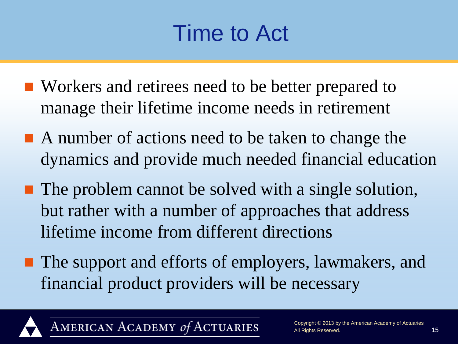### Time to Act

- Workers and retirees need to be better prepared to manage their lifetime income needs in retirement
- A number of actions need to be taken to change the dynamics and provide much needed financial education
- **The problem cannot be solved with a single solution,** but rather with a number of approaches that address lifetime income from different directions
- The support and efforts of employers, lawmakers, and financial product providers will be necessary



AMERICAN ACADEMY of ACTUARIES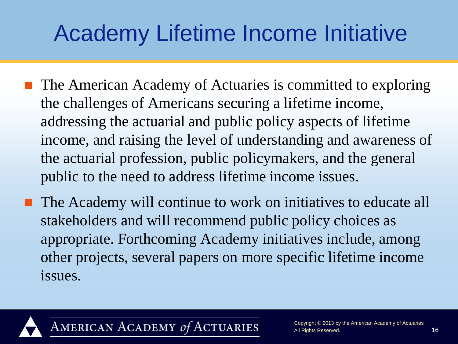## Academy Lifetime Income Initiative

- The American Academy of Actuaries is committed to exploring the challenges of Americans securing a lifetime income, addressing the actuarial and public policy aspects of lifetime income, and raising the level of understanding and awareness of the actuarial profession, public policymakers, and the general public to the need to address lifetime income issues.
- The Academy will continue to work on initiatives to educate all stakeholders and will recommend public policy choices as appropriate. Forthcoming Academy initiatives include, among other projects, several papers on more specific lifetime income issues.

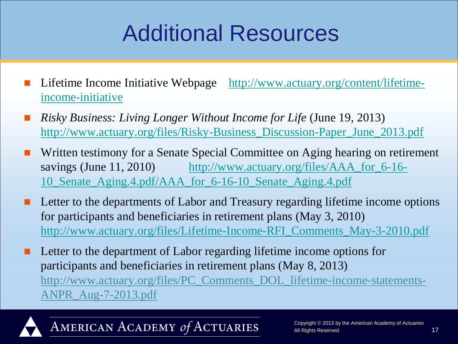## Additional Resources

- Lifetime Income Initiative Webpage [http://www.actuary.org/content/lifetime](http://www.actuary.org/content/lifetime-income-initiative)[income-initiative](http://www.actuary.org/content/lifetime-income-initiative)
- *Risky Business: Living Longer Without Income for Life* (June 19, 2013) [http://www.actuary.org/files/Risky-Business\\_Discussion-Paper\\_June\\_2013.pdf](http://www.actuary.org/files/Risky-Business_Discussion-Paper_June_2013.pdf)
- Written testimony for a Senate Special Committee on Aging hearing on retirement savings (June 11, 2010) [http://www.actuary.org/files/AAA\\_for\\_6-16-](http://www.actuary.org/files/AAA_for_6-16-10_Senate_Aging.4.pdf/AAA_for_6-16-10_Senate_Aging.4.pdf) [10\\_Senate\\_Aging.4.pdf/AAA\\_for\\_6-16-10\\_Senate\\_Aging.4.pdf](http://www.actuary.org/files/AAA_for_6-16-10_Senate_Aging.4.pdf/AAA_for_6-16-10_Senate_Aging.4.pdf)
- Letter to the departments of Labor and Treasury regarding lifetime income options for participants and beneficiaries in retirement plans (May 3, 2010) [http://www.actuary.org/files/Lifetime-Income-RFI\\_Comments\\_May-3-2010.pdf](http://www.actuary.org/files/Lifetime-Income-RFI_Comments_May-3-2010.pdf)
- Letter to the department of Labor regarding lifetime income options for participants and beneficiaries in retirement plans (May 8, 2013) http://www.actuary.org/files/PC\_Comments\_DOL\_lifetime-income-statements-ANPR\_Aug-7-2013.pdf



AMERICAN ACADEMY of ACTUARIES